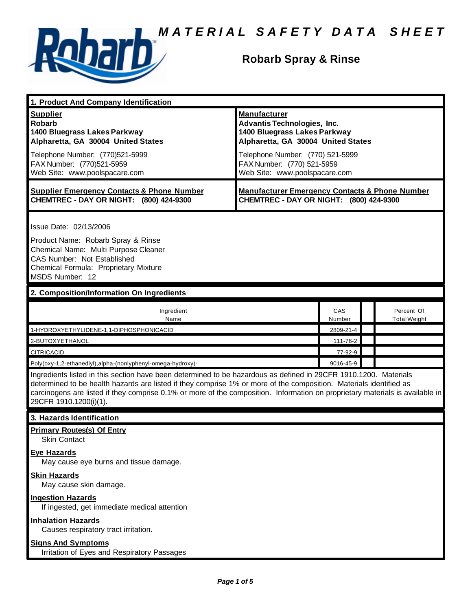

## **Robarb Spray & Rinse**

| 1. Product And Company Identification                                                                                                                                                                                                                                                                                                                                                             |                                                                                                                                                                                                   |               |  |                                   |  |
|---------------------------------------------------------------------------------------------------------------------------------------------------------------------------------------------------------------------------------------------------------------------------------------------------------------------------------------------------------------------------------------------------|---------------------------------------------------------------------------------------------------------------------------------------------------------------------------------------------------|---------------|--|-----------------------------------|--|
| <b>Supplier</b><br><b>Robarb</b><br>1400 Bluegrass Lakes Parkway<br>Alpharetta, GA 30004 United States<br>Telephone Number: (770)521-5999<br>FAX Number: (770)521-5959                                                                                                                                                                                                                            | <b>Manufacturer</b><br><b>Advantis Technologies, Inc.</b><br>1400 Bluegrass Lakes Parkway<br>Alpharetta, GA 30004 United States<br>Telephone Number: (770) 521-5999<br>FAX Number: (770) 521-5959 |               |  |                                   |  |
| Web Site: www.poolspacare.com                                                                                                                                                                                                                                                                                                                                                                     | Web Site: www.poolspacare.com                                                                                                                                                                     |               |  |                                   |  |
| <b>Supplier Emergency Contacts &amp; Phone Number</b><br>CHEMTREC - DAY OR NIGHT: (800) 424-9300                                                                                                                                                                                                                                                                                                  | <b>Manufacturer Emergency Contacts &amp; Phone Number</b><br>CHEMTREC - DAY OR NIGHT: (800) 424-9300                                                                                              |               |  |                                   |  |
| Issue Date: 02/13/2006<br>Product Name: Robarb Spray & Rinse<br>Chemical Name: Multi Purpose Cleaner<br>CAS Number: Not Established<br>Chemical Formula: Proprietary Mixture<br>MSDS Number: 12                                                                                                                                                                                                   |                                                                                                                                                                                                   |               |  |                                   |  |
| 2. Composition/Information On Ingredients                                                                                                                                                                                                                                                                                                                                                         |                                                                                                                                                                                                   |               |  |                                   |  |
| Ingredient<br>Name                                                                                                                                                                                                                                                                                                                                                                                |                                                                                                                                                                                                   | CAS<br>Number |  | Percent Of<br><b>Total Weight</b> |  |
| 1-HYDROXYETHYLIDENE-1,1-DIPHOSPHONICACID                                                                                                                                                                                                                                                                                                                                                          |                                                                                                                                                                                                   | 2809-21-4     |  |                                   |  |
| 2-BUTOXYETHANOL                                                                                                                                                                                                                                                                                                                                                                                   |                                                                                                                                                                                                   | 111-76-2      |  |                                   |  |
| <b>CITRICACID</b>                                                                                                                                                                                                                                                                                                                                                                                 |                                                                                                                                                                                                   | 77-92-9       |  |                                   |  |
| Poly(oxy-1,2-ethanediyl),alpha-(nonlyphenyl-omega-hydroxy)-                                                                                                                                                                                                                                                                                                                                       |                                                                                                                                                                                                   | 9016-45-9     |  |                                   |  |
| Ingredients listed in this section have been determined to be hazardous as defined in 29CFR 1910.1200. Materials<br>determined to be health hazards are listed if they comprise 1% or more of the composition. Materials identified as<br>carcinogens are listed if they comprise 0.1% or more of the composition. Information on proprietary materials is available in<br>29CFR 1910.1200(i)(1). |                                                                                                                                                                                                   |               |  |                                   |  |
| 3. Hazards Identification                                                                                                                                                                                                                                                                                                                                                                         |                                                                                                                                                                                                   |               |  |                                   |  |
| <b>Primary Routes(s) Of Entry</b><br><b>Skin Contact</b>                                                                                                                                                                                                                                                                                                                                          |                                                                                                                                                                                                   |               |  |                                   |  |
| <b>Eye Hazards</b><br>May cause eye burns and tissue damage.                                                                                                                                                                                                                                                                                                                                      |                                                                                                                                                                                                   |               |  |                                   |  |
| <b>Skin Hazards</b><br>May cause skin damage.                                                                                                                                                                                                                                                                                                                                                     |                                                                                                                                                                                                   |               |  |                                   |  |
| <b>Ingestion Hazards</b><br>If ingested, get immediate medical attention                                                                                                                                                                                                                                                                                                                          |                                                                                                                                                                                                   |               |  |                                   |  |
| <b>Inhalation Hazards</b><br>Causes respiratory tract irritation.                                                                                                                                                                                                                                                                                                                                 |                                                                                                                                                                                                   |               |  |                                   |  |
| <b>Signs And Symptoms</b>                                                                                                                                                                                                                                                                                                                                                                         |                                                                                                                                                                                                   |               |  |                                   |  |

Irritation of Eyes and Respiratory Passages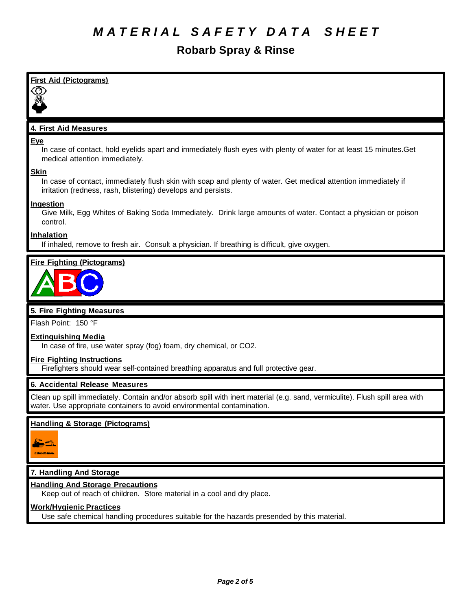# **Robarb Spray & Rinse**

| <b>First Aid (Pictograms)</b>                                                                                                                                                                          |
|--------------------------------------------------------------------------------------------------------------------------------------------------------------------------------------------------------|
|                                                                                                                                                                                                        |
| 4. First Aid Measures                                                                                                                                                                                  |
| Eye<br>In case of contact, hold eyelids apart and immediately flush eyes with plenty of water for at least 15 minutes. Get<br>medical attention immediately.                                           |
| <b>Skin</b><br>In case of contact, immediately flush skin with soap and plenty of water. Get medical attention immediately if<br>irritation (redness, rash, blistering) develops and persists.         |
| Ingestion<br>Give Milk, Egg Whites of Baking Soda Immediately. Drink large amounts of water. Contact a physician or poison<br>control.                                                                 |
| <b>Inhalation</b><br>If inhaled, remove to fresh air. Consult a physician. If breathing is difficult, give oxygen.                                                                                     |
| <b>Fire Fighting (Pictograms)</b>                                                                                                                                                                      |
|                                                                                                                                                                                                        |
| 5. Fire Fighting Measures                                                                                                                                                                              |
| Flash Point: 150 °F                                                                                                                                                                                    |
| <b>Extinguishing Media</b><br>In case of fire, use water spray (fog) foam, dry chemical, or CO2.                                                                                                       |
| <b>Fire Fighting Instructions</b><br>Firefighters should wear self-contained breathing apparatus and full protective gear.                                                                             |
| 6. Accidental Release Measures                                                                                                                                                                         |
| Clean up spill immediately. Contain and/or absorb spill with inert material (e.g. sand, vermiculite). Flush spill area with<br>water. Use appropriate containers to avoid environmental contamination. |

## **Handling & Storage (Pictograms)**



## **7. Handling And Storage**

## **Handling And Storage Precautions**

Keep out of reach of children. Store material in a cool and dry place.

## **Work/Hygienic Practices**

Use safe chemical handling procedures suitable for the hazards presended by this material.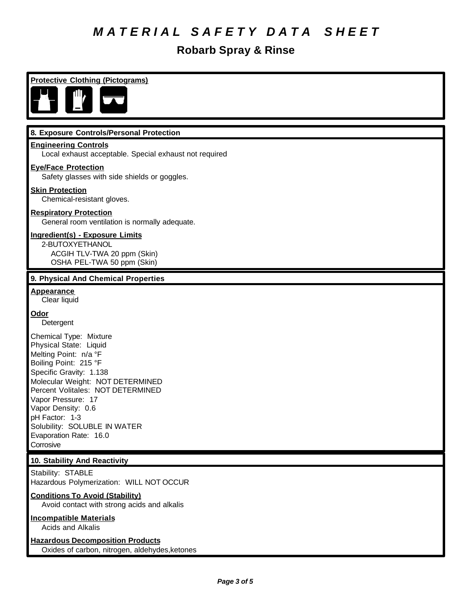## **Robarb Spray & Rinse**

**Protective Clothing (Pictograms)**



#### **8. Exposure Controls/Personal Protection**

#### **Engineering Controls**

Local exhaust acceptable. Special exhaust not required

#### **Eye/Face Protection**

Safety glasses with side shields or goggles.

#### **Skin Protection**

Chemical-resistant gloves.

#### **Respiratory Protection**

General room ventilation is normally adequate.

#### **Ingredient(s) - Exposure Limits**

2-BUTOXYETHANOL ACGIH TLV-TWA 20 ppm (Skin) OSHA PEL-TWA 50 ppm (Skin)

#### **9. Physical And Chemical Properties**

**Appearance** Clear liquid

#### **Odor**

Detergent

Chemical Type: Mixture Physical State: Liquid Melting Point: n/a °F Boiling Point: 215 °F Specific Gravity: 1.138 Molecular Weight: NOT DETERMINED Percent Volitales: NOT DETERMINED Vapor Pressure: 17 Vapor Density: 0.6 pH Factor: 1-3 Solubility: SOLUBLE IN WATER Evaporation Rate: 16.0 Corrosive

#### **10. Stability And Reactivity**

Stability: STABLE Hazardous Polymerization: WILL NOT OCCUR

#### **Conditions To Avoid (Stability)**

Avoid contact with strong acids and alkalis

## **Incompatible Materials**

Acids and Alkalis

## **Hazardous Decomposition Products**

Oxides of carbon, nitrogen, aldehydes,ketones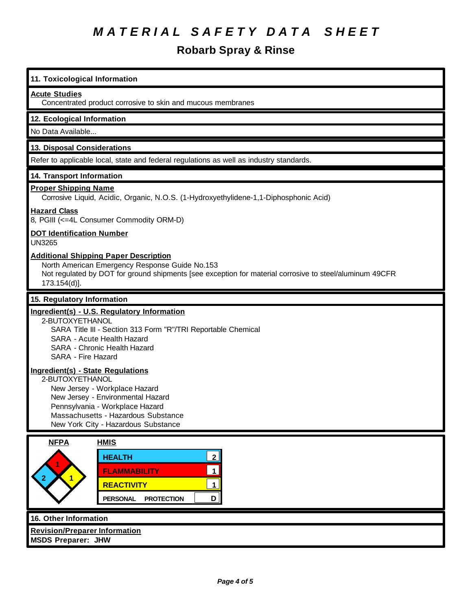# **Robarb Spray & Rinse**

| 11. Toxicological Information                                                                                                                                                                                                                      |  |  |
|----------------------------------------------------------------------------------------------------------------------------------------------------------------------------------------------------------------------------------------------------|--|--|
| <b>Acute Studies</b><br>Concentrated product corrosive to skin and mucous membranes                                                                                                                                                                |  |  |
| 12. Ecological Information                                                                                                                                                                                                                         |  |  |
| No Data Available                                                                                                                                                                                                                                  |  |  |
| 13. Disposal Considerations                                                                                                                                                                                                                        |  |  |
| Refer to applicable local, state and federal regulations as well as industry standards.                                                                                                                                                            |  |  |
| 14. Transport Information                                                                                                                                                                                                                          |  |  |
| <b>Proper Shipping Name</b><br>Corrosive Liquid, Acidic, Organic, N.O.S. (1-Hydroxyethylidene-1,1-Diphosphonic Acid)                                                                                                                               |  |  |
| <b>Hazard Class</b><br>8, PGIII (<=4L Consumer Commodity ORM-D)                                                                                                                                                                                    |  |  |
| <b>DOT Identification Number</b><br><b>UN3265</b>                                                                                                                                                                                                  |  |  |
| <b>Additional Shipping Paper Description</b><br>North American Emergency Response Guide No.153<br>Not regulated by DOT for ground shipments [see exception for material corrosive to steel/aluminum 49CFR<br>173.154(d)].                          |  |  |
| 15. Regulatory Information                                                                                                                                                                                                                         |  |  |
| Ingredient(s) - U.S. Regulatory Information<br>2-BUTOXYETHANOL<br>SARA Title III - Section 313 Form "R"/TRI Reportable Chemical<br>SARA - Acute Health Hazard<br>SARA - Chronic Health Hazard<br>SARA - Fire Hazard                                |  |  |
| <b>Ingredient(s) - State Regulations</b><br>2-BUTOXYETHANOL<br>New Jersey - Workplace Hazard<br>New Jersey - Environmental Hazard<br>Pennsylvania - Workplace Hazard<br>Massachusetts - Hazardous Substance<br>New York City - Hazardous Substance |  |  |
| <b>NFPA</b><br><b>HMIS</b>                                                                                                                                                                                                                         |  |  |
| 2 <sup>1</sup><br><b>HEALTH</b><br>$\mathbf 1$<br><b>FLAMMABILITY</b><br>$\overline{1}$<br><b>REACTIVITY</b><br>$\mathbf 1$<br>D<br><b>PERSONAL</b><br><b>PROTECTION</b>                                                                           |  |  |
| 16. Other Information                                                                                                                                                                                                                              |  |  |

**Revision/Preparer Information MSDS Preparer: JHW**